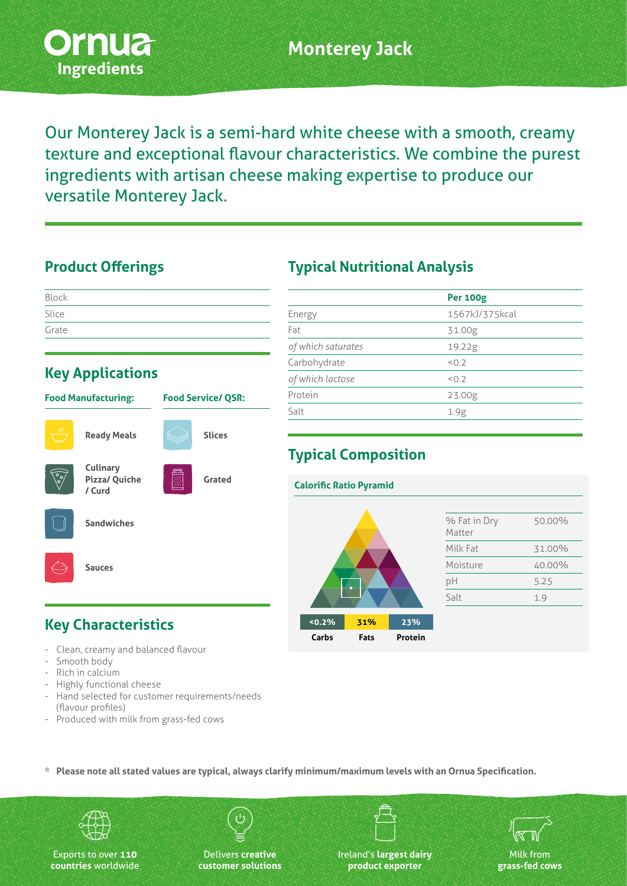

# **Monterey Jack**

Our Monterey Jack is a semi-hard white cheese with a smooth, creamy texture and exceptional flavour characteristics. We combine the purest ingredients with artisan cheese making expertise to produce our versatile Monterey Jack.

#### **Product Offerings**

| Block |  |  |  |
|-------|--|--|--|
| Slice |  |  |  |
| Grate |  |  |  |

#### **Key Applications**

#### **Food Manufacturing:**







**Food Service/ QSR:**

**Slices**



**Sandwiches**

**Culinary Pizza/ Quiche / Curd**



**Sauces**

# **Typical Nutritional Analysis**

|                    | <b>Per 100g</b> |
|--------------------|-----------------|
| Energy             | 1567kJ/375kcal  |
| Fat                | 31.00g          |
| of which saturates | 19.22g          |
| Carbohydrate       | < 0.2           |
| of which lactose   | < 0.2           |
| Protein            | 23.00g          |
| Salt               | 1.9g            |
|                    |                 |

# **Typical Composition**



#### **Key Characteristics**

- Clean, creamy and balanced flavour
- Smooth body
- Rich in calcium
- Highly functional cheese
- Hand selected for customer requirements/needs (flavour profiles)
- Produced with milk from grass-fed cows

**\* Please note all stated values are typical, always clarify minimum/maximum levels with an Ornua Specification.**



Exports to over **110 countries** worldwide

Delivers **creative customer solutions** Ireland's **largest dairy product exporter**